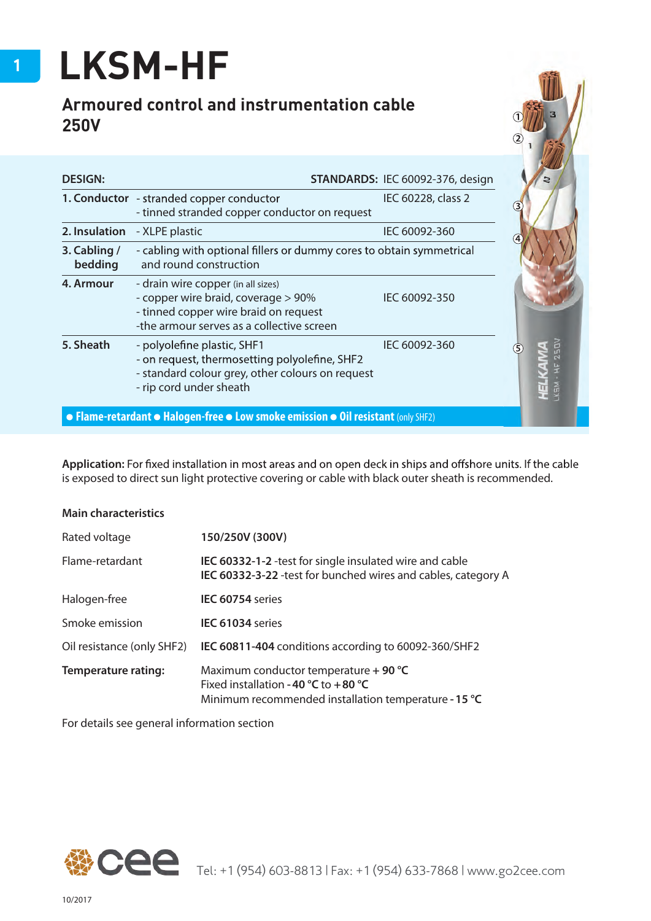## **LKSM-HF**

## **Armoured control and instrumentation cable 250V**

| <b>DESIGN:</b>          |                                                                                                                                                                 | STANDARDS: IEC 60092-376, design |  |
|-------------------------|-----------------------------------------------------------------------------------------------------------------------------------------------------------------|----------------------------------|--|
|                         | 1. Conductor - stranded copper conductor<br>- tinned stranded copper conductor on request                                                                       | IEC 60228, class 2               |  |
| 2. Insulation           | - XLPE plastic                                                                                                                                                  | IEC 60092-360                    |  |
| 3. Cabling /<br>bedding | - cabling with optional fillers or dummy cores to obtain symmetrical<br>and round construction                                                                  |                                  |  |
| 4. Armour               | - drain wire copper (in all sizes)<br>- copper wire braid, coverage > 90%<br>- tinned copper wire braid on request<br>-the armour serves as a collective screen | IEC 60092-350                    |  |
| 5. Sheath               | - polyolefine plastic, SHF1<br>- on request, thermosetting polyolefine, SHF2<br>- standard colour grey, other colours on request<br>- rip cord under sheath     | IEC 60092-360                    |  |
|                         | • Flame-retardant • Halogen-free • Low smoke emission • Oil resistant (only SHF2)                                                                               |                                  |  |

Application: For fixed installation in most areas and on open deck in ships and offshore units. If the cable is exposed to direct sun light protective covering or cable with black outer sheath is recommended.

| 150/250V (300V)                                                                                                                       |  |  |  |  |
|---------------------------------------------------------------------------------------------------------------------------------------|--|--|--|--|
| IEC 60332-1-2 - test for single insulated wire and cable<br>IEC 60332-3-22 -test for bunched wires and cables, category A             |  |  |  |  |
| IEC 60754 series                                                                                                                      |  |  |  |  |
| IEC 61034 series                                                                                                                      |  |  |  |  |
| IEC 60811-404 conditions according to 60092-360/SHF2                                                                                  |  |  |  |  |
| Maximum conductor temperature + 90 °C<br>Fixed installation - 40 °C to +80 °C<br>Minimum recommended installation temperature - 15 °C |  |  |  |  |
|                                                                                                                                       |  |  |  |  |

For details see general information section